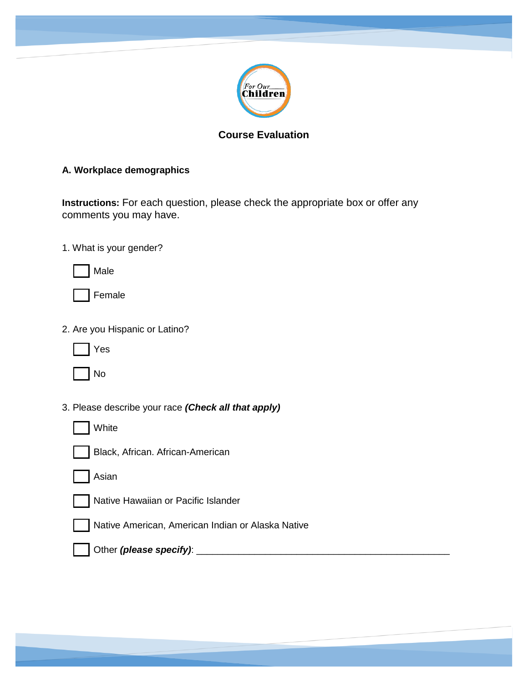

# **Course Evaluation**

### **A. Workplace demographics**

**Instructions:** For each question, please check the appropriate box or offer any comments you may have.

1. What is your gender?

Male



2. Are you Hispanic or Latino?



No

3. Please describe your race *(Check all that apply)*



Black, African. African-American





Native Hawaiian or Pacific Islander



Native American, American Indian or Alaska Native



Other *(please specify)*: \_\_\_\_\_\_\_\_\_\_\_\_\_\_\_\_\_\_\_\_\_\_\_\_\_\_\_\_\_\_\_\_\_\_\_\_\_\_\_\_\_\_\_\_\_\_\_\_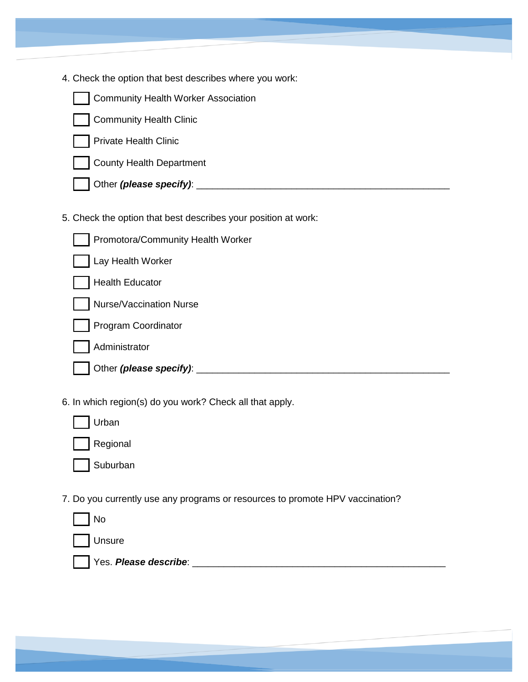4. Check the option that best describes where you work:



Community Health Worker Association

Community Health Clinic

Private Health Clinic



Other *(please specify)*: \_\_\_\_\_\_\_\_\_\_\_\_\_\_\_\_\_\_\_\_\_\_\_\_\_\_\_\_\_\_\_\_\_\_\_\_\_\_\_\_\_\_\_\_\_\_\_\_

5. Check the option that best describes your position at work:

| Promotora/Community Health Worker |  |
|-----------------------------------|--|
| Lay Health Worker                 |  |
| <b>Health Educator</b>            |  |
| <b>Nurse/Vaccination Nurse</b>    |  |
| <b>Program Coordinator</b>        |  |
| Administrator                     |  |
| Other (please specify):           |  |

6. In which region(s) do you work? Check all that apply.

| Urban    |
|----------|
| Regional |

Suburban

7. Do you currently use any programs or resources to promote HPV vaccination?

| No                    |  |
|-----------------------|--|
| Unsure                |  |
| Yes. Please describe: |  |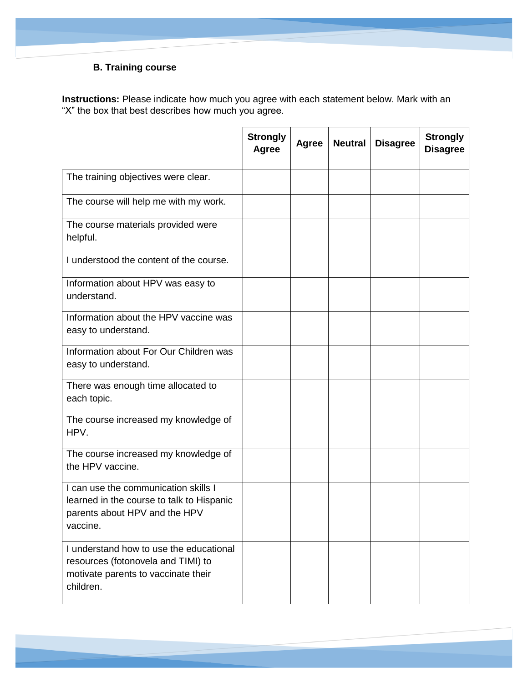# **B. Training course**

**Instructions:** Please indicate how much you agree with each statement below. Mark with an "X" the box that best describes how much you agree.

|                                                                                                                                   | <b>Strongly</b><br>Agree | Agree | <b>Neutral</b> | <b>Disagree</b> | <b>Strongly</b><br><b>Disagree</b> |
|-----------------------------------------------------------------------------------------------------------------------------------|--------------------------|-------|----------------|-----------------|------------------------------------|
| The training objectives were clear.                                                                                               |                          |       |                |                 |                                    |
| The course will help me with my work.                                                                                             |                          |       |                |                 |                                    |
| The course materials provided were<br>helpful.                                                                                    |                          |       |                |                 |                                    |
| I understood the content of the course.                                                                                           |                          |       |                |                 |                                    |
| Information about HPV was easy to<br>understand.                                                                                  |                          |       |                |                 |                                    |
| Information about the HPV vaccine was<br>easy to understand.                                                                      |                          |       |                |                 |                                    |
| Information about For Our Children was<br>easy to understand.                                                                     |                          |       |                |                 |                                    |
| There was enough time allocated to<br>each topic.                                                                                 |                          |       |                |                 |                                    |
| The course increased my knowledge of<br>HPV.                                                                                      |                          |       |                |                 |                                    |
| The course increased my knowledge of<br>the HPV vaccine.                                                                          |                          |       |                |                 |                                    |
| I can use the communication skills I<br>learned in the course to talk to Hispanic<br>parents about HPV and the HPV<br>vaccine.    |                          |       |                |                 |                                    |
| I understand how to use the educational<br>resources (fotonovela and TIMI) to<br>motivate parents to vaccinate their<br>children. |                          |       |                |                 |                                    |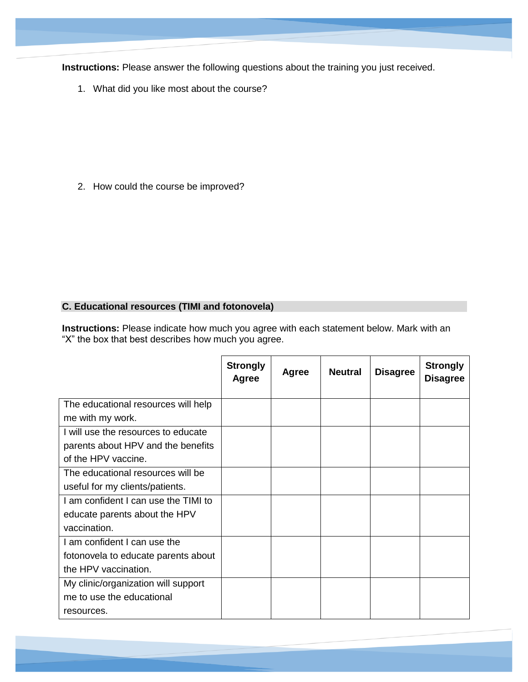**Instructions:** Please answer the following questions about the training you just received.

1. What did you like most about the course?

2. How could the course be improved?

#### **C. Educational resources (TIMI and fotonovela)**

**Instructions:** Please indicate how much you agree with each statement below. Mark with an "X" the box that best describes how much you agree.

|                                      | <b>Strongly</b><br>Agree | <b>Agree</b> | <b>Neutral</b> | <b>Disagree</b> | <b>Strongly</b><br><b>Disagree</b> |
|--------------------------------------|--------------------------|--------------|----------------|-----------------|------------------------------------|
| The educational resources will help  |                          |              |                |                 |                                    |
| me with my work.                     |                          |              |                |                 |                                    |
| I will use the resources to educate  |                          |              |                |                 |                                    |
| parents about HPV and the benefits   |                          |              |                |                 |                                    |
| of the HPV vaccine.                  |                          |              |                |                 |                                    |
| The educational resources will be    |                          |              |                |                 |                                    |
| useful for my clients/patients.      |                          |              |                |                 |                                    |
| I am confident I can use the TIMI to |                          |              |                |                 |                                    |
| educate parents about the HPV        |                          |              |                |                 |                                    |
| vaccination.                         |                          |              |                |                 |                                    |
| I am confident I can use the         |                          |              |                |                 |                                    |
| fotonovela to educate parents about  |                          |              |                |                 |                                    |
| the HPV vaccination.                 |                          |              |                |                 |                                    |
| My clinic/organization will support  |                          |              |                |                 |                                    |
| me to use the educational            |                          |              |                |                 |                                    |
| resources.                           |                          |              |                |                 |                                    |